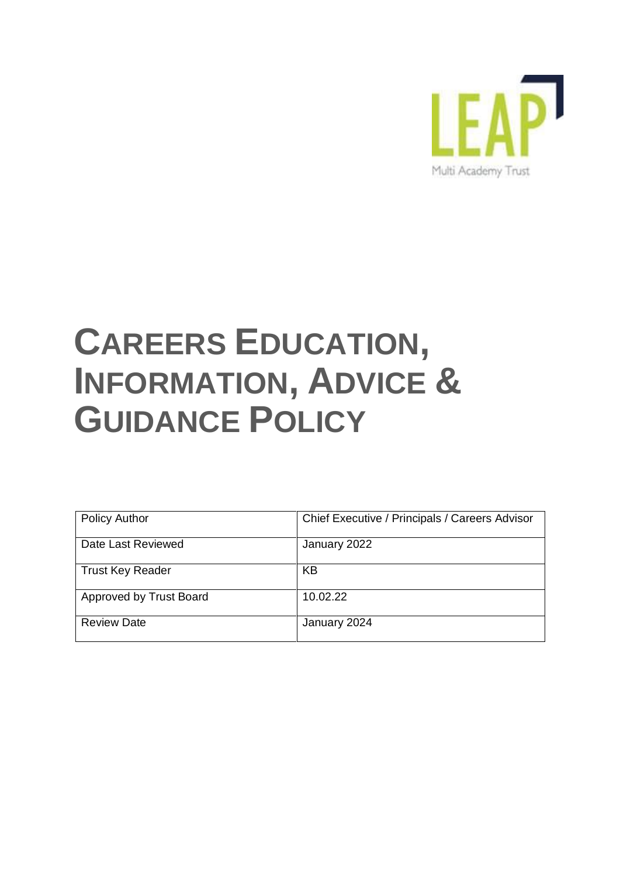

# **CAREERS EDUCATION, INFORMATION, ADVICE & GUIDANCE POLICY**

| <b>Policy Author</b>    | Chief Executive / Principals / Careers Advisor |
|-------------------------|------------------------------------------------|
|                         |                                                |
| Date Last Reviewed      | January 2022                                   |
| <b>Trust Key Reader</b> | KB                                             |
|                         |                                                |
| Approved by Trust Board | 10.02.22                                       |
| <b>Review Date</b>      | January 2024                                   |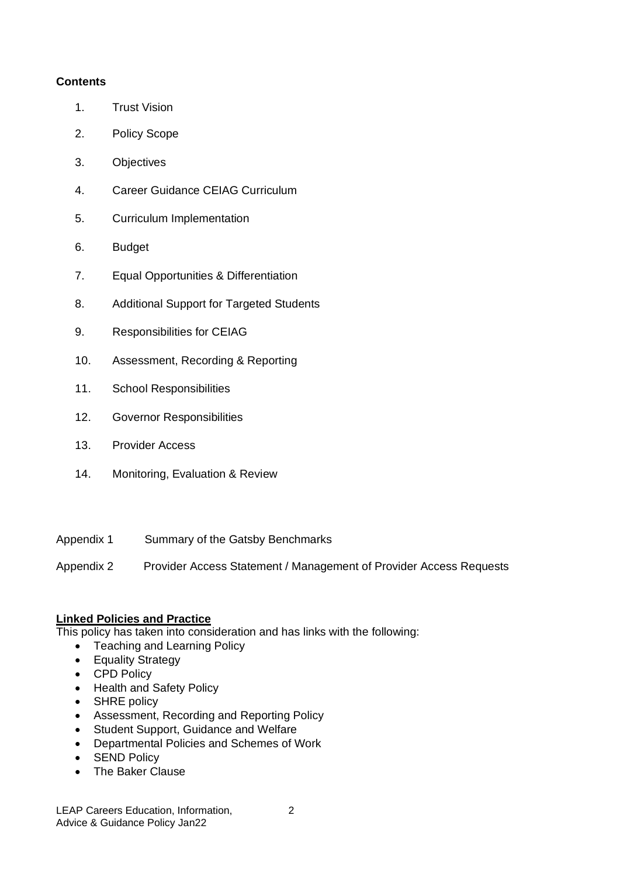# **Contents**

- 1. Trust Vision
- 2. Policy Scope
- 3. Objectives
- 4. Career Guidance CEIAG Curriculum
- 5. Curriculum Implementation
- 6. Budget
- 7. Equal Opportunities & Differentiation
- 8. Additional Support for Targeted Students
- 9. Responsibilities for CEIAG
- 10. Assessment, Recording & Reporting
- 11. School Responsibilities
- 12. Governor Responsibilities
- 13. Provider Access
- 14. Monitoring, Evaluation & Review
- Appendix 1 Summary of the Gatsby Benchmarks
- Appendix 2 Provider Access Statement / Management of Provider Access Requests

## **Linked Policies and Practice**

This policy has taken into consideration and has links with the following:

- Teaching and Learning Policy
- Equality Strategy
- CPD Policy
- Health and Safety Policy
- SHRE policy
- Assessment, Recording and Reporting Policy
- Student Support, Guidance and Welfare
- Departmental Policies and Schemes of Work
- SEND Policy
- The Baker Clause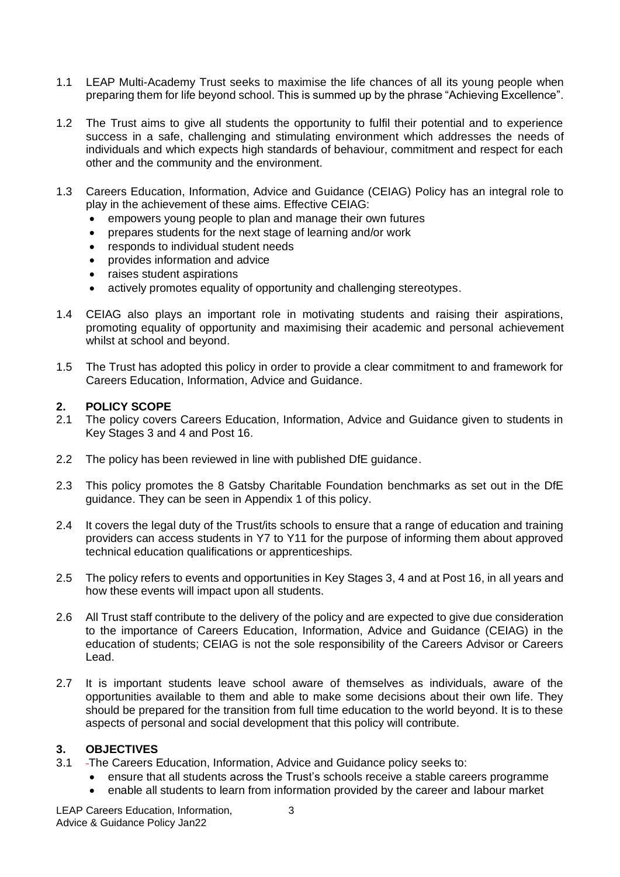- 1.1 LEAP Multi-Academy Trust seeks to maximise the life chances of all its young people when preparing them for life beyond school. This is summed up by the phrase "Achieving Excellence".
- 1.2 The Trust aims to give all students the opportunity to fulfil their potential and to experience success in a safe, challenging and stimulating environment which addresses the needs of individuals and which expects high standards of behaviour, commitment and respect for each other and the community and the environment.
- 1.3 Careers Education, Information, Advice and Guidance (CEIAG) Policy has an integral role to play in the achievement of these aims. Effective CEIAG:
	- empowers young people to plan and manage their own futures
	- prepares students for the next stage of learning and/or work
	- responds to individual student needs
	- provides information and advice
	- raises student aspirations
	- actively promotes equality of opportunity and challenging stereotypes.
- 1.4 CEIAG also plays an important role in motivating students and raising their aspirations, promoting equality of opportunity and maximising their academic and personal achievement whilst at school and beyond.
- 1.5 The Trust has adopted this policy in order to provide a clear commitment to and framework for Careers Education, Information, Advice and Guidance.

## **2. POLICY SCOPE**

- 2.1 The policy covers Careers Education, Information, Advice and Guidance given to students in Key Stages 3 and 4 and Post 16.
- 2.2 The policy has been reviewed in line with published DfE guidance.
- 2.3 This policy promotes the 8 Gatsby Charitable Foundation benchmarks as set out in the DfE guidance. They can be seen in Appendix 1 of this policy.
- 2.4 It covers the legal duty of the Trust/its schools to ensure that a range of education and training providers can access students in Y7 to Y11 for the purpose of informing them about approved technical education qualifications or apprenticeships.
- 2.5 The policy refers to events and opportunities in Key Stages 3, 4 and at Post 16, in all years and how these events will impact upon all students.
- 2.6 All Trust staff contribute to the delivery of the policy and are expected to give due consideration to the importance of Careers Education, Information, Advice and Guidance (CEIAG) in the education of students; CEIAG is not the sole responsibility of the Careers Advisor or Careers Lead.
- 2.7 It is important students leave school aware of themselves as individuals, aware of the opportunities available to them and able to make some decisions about their own life. They should be prepared for the transition from full time education to the world beyond. It is to these aspects of personal and social development that this policy will contribute.

## **3. OBJECTIVES**

- 3.1 The Careers Education, Information, Advice and Guidance policy seeks to:
	- ensure that all students across the Trust's schools receive a stable careers programme
	- enable all students to learn from information provided by the career and labour market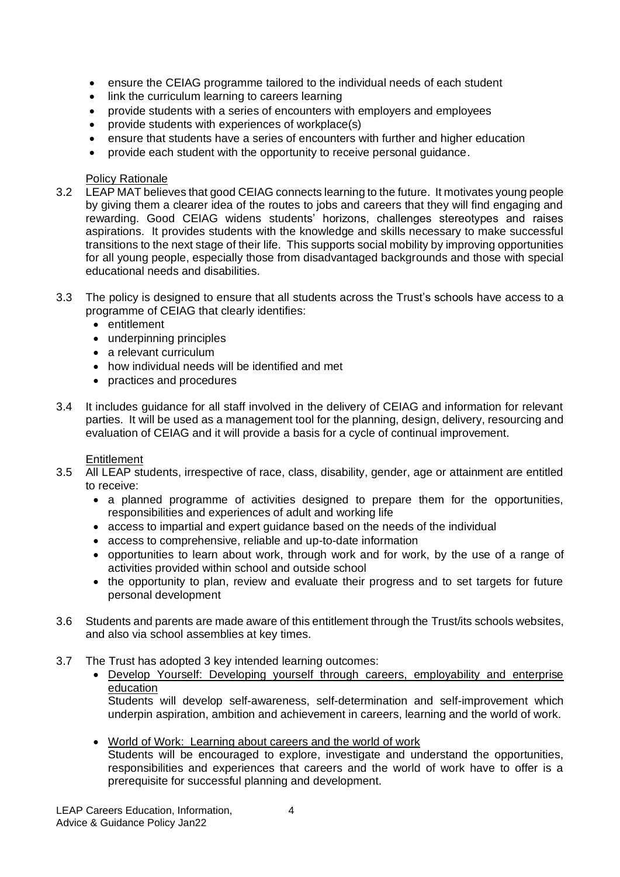- ensure the CEIAG programme tailored to the individual needs of each student
- link the curriculum learning to careers learning
- provide students with a series of encounters with employers and employees
- provide students with experiences of workplace(s)
- ensure that students have a series of encounters with further and higher education
- provide each student with the opportunity to receive personal guidance.

## Policy Rationale

- 3.2 LEAP MAT believes that good CEIAG connects learning to the future. It motivates young people by giving them a clearer idea of the routes to jobs and careers that they will find engaging and rewarding. Good CEIAG widens students' horizons, challenges stereotypes and raises aspirations. It provides students with the knowledge and skills necessary to make successful transitions to the next stage of their life. This supports social mobility by improving opportunities for all young people, especially those from disadvantaged backgrounds and those with special educational needs and disabilities.
- 3.3 The policy is designed to ensure that all students across the Trust's schools have access to a programme of CEIAG that clearly identifies:
	- entitlement
	- underpinning principles
	- a relevant curriculum
	- how individual needs will be identified and met
	- practices and procedures
- 3.4 It includes guidance for all staff involved in the delivery of CEIAG and information for relevant parties. It will be used as a management tool for the planning, design, delivery, resourcing and evaluation of CEIAG and it will provide a basis for a cycle of continual improvement.

## **Entitlement**

- 3.5 All LEAP students, irrespective of race, class, disability, gender, age or attainment are entitled to receive:
	- a planned programme of activities designed to prepare them for the opportunities, responsibilities and experiences of adult and working life
	- access to impartial and expert guidance based on the needs of the individual
	- access to comprehensive, reliable and up-to-date information
	- opportunities to learn about work, through work and for work, by the use of a range of activities provided within school and outside school
	- the opportunity to plan, review and evaluate their progress and to set targets for future personal development
- 3.6 Students and parents are made aware of this entitlement through the Trust/its schools websites, and also via school assemblies at key times.
- 3.7 The Trust has adopted 3 key intended learning outcomes:
	- Develop Yourself: Developing yourself through careers, employability and enterprise education

Students will develop self-awareness, self-determination and self-improvement which underpin aspiration, ambition and achievement in careers, learning and the world of work.

• World of Work: Learning about careers and the world of work

Students will be encouraged to explore, investigate and understand the opportunities, responsibilities and experiences that careers and the world of work have to offer is a prerequisite for successful planning and development.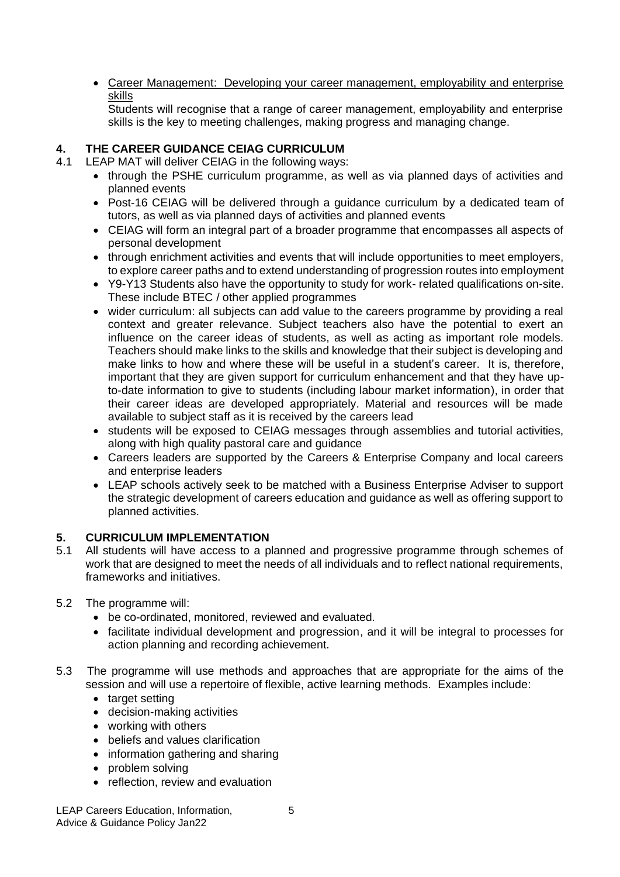• Career Management: Developing your career management, employability and enterprise skills

Students will recognise that a range of career management, employability and enterprise skills is the key to meeting challenges, making progress and managing change.

# **4. THE CAREER GUIDANCE CEIAG CURRICULUM**

- 4.1 LEAP MAT will deliver CEIAG in the following ways:
	- through the PSHE curriculum programme, as well as via planned days of activities and planned events
	- Post-16 CEIAG will be delivered through a guidance curriculum by a dedicated team of tutors, as well as via planned days of activities and planned events
	- CEIAG will form an integral part of a broader programme that encompasses all aspects of personal development
	- through enrichment activities and events that will include opportunities to meet employers, to explore career paths and to extend understanding of progression routes into employment
	- Y9-Y13 Students also have the opportunity to study for work- related qualifications on-site. These include BTEC / other applied programmes
	- wider curriculum: all subjects can add value to the careers programme by providing a real context and greater relevance. Subject teachers also have the potential to exert an influence on the career ideas of students, as well as acting as important role models. Teachers should make links to the skills and knowledge that their subject is developing and make links to how and where these will be useful in a student's career. It is, therefore, important that they are given support for curriculum enhancement and that they have upto-date information to give to students (including labour market information), in order that their career ideas are developed appropriately. Material and resources will be made available to subject staff as it is received by the careers lead
	- students will be exposed to CEIAG messages through assemblies and tutorial activities, along with high quality pastoral care and guidance
	- Careers leaders are supported by the Careers & Enterprise Company and local careers and enterprise leaders
	- LEAP schools actively seek to be matched with a Business Enterprise Adviser to support the strategic development of careers education and guidance as well as offering support to planned activities.

# **5. CURRICULUM IMPLEMENTATION**

- 5.1 All students will have access to a planned and progressive programme through schemes of work that are designed to meet the needs of all individuals and to reflect national requirements, frameworks and initiatives.
- 5.2 The programme will:
	- be co-ordinated, monitored, reviewed and evaluated.
	- facilitate individual development and progression, and it will be integral to processes for action planning and recording achievement.
- 5.3 The programme will use methods and approaches that are appropriate for the aims of the session and will use a repertoire of flexible, active learning methods. Examples include:
	- target setting
	- decision-making activities
	- working with others
	- beliefs and values clarification
	- information gathering and sharing
	- problem solving
	- reflection, review and evaluation

LEAP Careers Education, Information, 6 Advice & Guidance Policy Jan22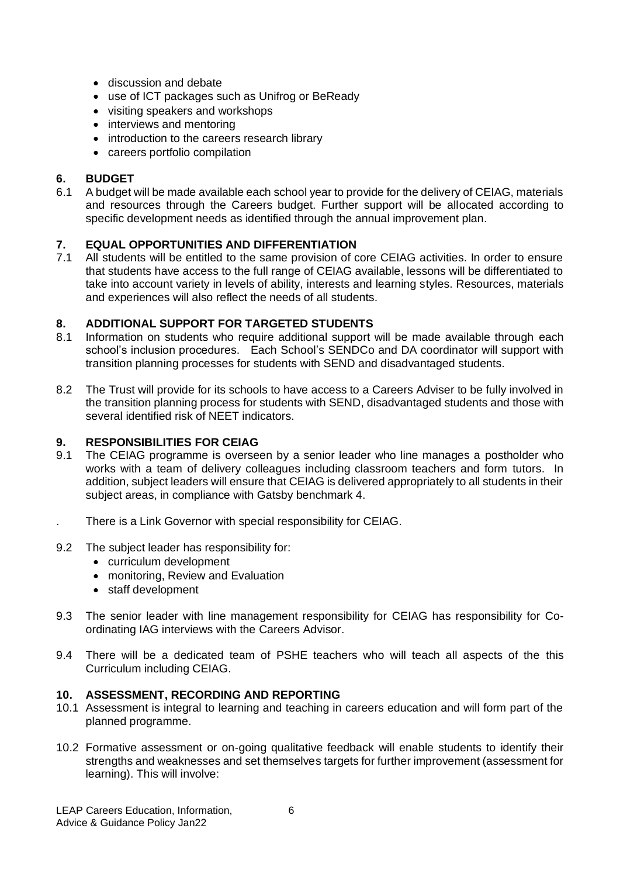- discussion and debate
- use of ICT packages such as Unifrog or BeReady
- visiting speakers and workshops
- interviews and mentoring
- introduction to the careers research library
- careers portfolio compilation

# **6. BUDGET**

6.1 A budget will be made available each school year to provide for the delivery of CEIAG, materials and resources through the Careers budget. Further support will be allocated according to specific development needs as identified through the annual improvement plan.

# **7. EQUAL OPPORTUNITIES AND DIFFERENTIATION**

7.1 All students will be entitled to the same provision of core CEIAG activities. In order to ensure that students have access to the full range of CEIAG available, lessons will be differentiated to take into account variety in levels of ability, interests and learning styles. Resources, materials and experiences will also reflect the needs of all students.

## **8. ADDITIONAL SUPPORT FOR TARGETED STUDENTS**

- 8.1 Information on students who require additional support will be made available through each school's inclusion procedures. Each School's SENDCo and DA coordinator will support with transition planning processes for students with SEND and disadvantaged students.
- 8.2 The Trust will provide for its schools to have access to a Careers Adviser to be fully involved in the transition planning process for students with SEND, disadvantaged students and those with several identified risk of NEET indicators.

# **9. RESPONSIBILITIES FOR CEIAG**

- 9.1 The CEIAG programme is overseen by a senior leader who line manages a postholder who works with a team of delivery colleagues including classroom teachers and form tutors. In addition, subject leaders will ensure that CEIAG is delivered appropriately to all students in their subject areas, in compliance with Gatsby benchmark 4.
- . There is a Link Governor with special responsibility for CEIAG.
- 9.2 The subject leader has responsibility for:
	- curriculum development
	- monitoring, Review and Evaluation
	- staff development
- 9.3 The senior leader with line management responsibility for CEIAG has responsibility for Coordinating IAG interviews with the Careers Advisor.
- 9.4 There will be a dedicated team of PSHE teachers who will teach all aspects of the this Curriculum including CEIAG.

## **10. ASSESSMENT, RECORDING AND REPORTING**

- 10.1 Assessment is integral to learning and teaching in careers education and will form part of the planned programme.
- 10.2 Formative assessment or on-going qualitative feedback will enable students to identify their strengths and weaknesses and set themselves targets for further improvement (assessment for learning). This will involve: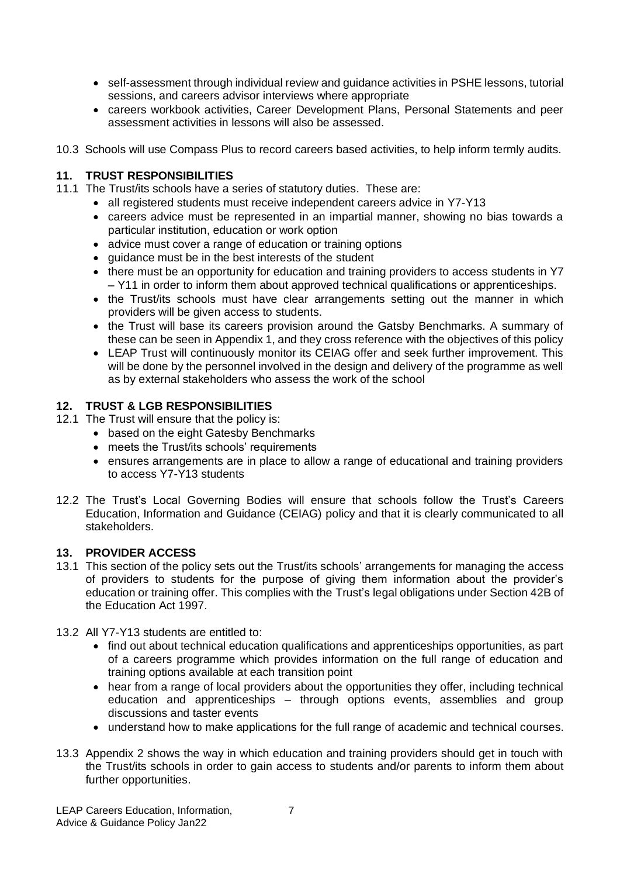- self-assessment through individual review and guidance activities in PSHE lessons, tutorial sessions, and careers advisor interviews where appropriate
- careers workbook activities, Career Development Plans, Personal Statements and peer assessment activities in lessons will also be assessed.
- 10.3 Schools will use Compass Plus to record careers based activities, to help inform termly audits.

# **11. TRUST RESPONSIBILITIES**

- 11.1 The Trust/its schools have a series of statutory duties. These are:
	- all registered students must receive independent careers advice in Y7-Y13
	- careers advice must be represented in an impartial manner, showing no bias towards a particular institution, education or work option
	- advice must cover a range of education or training options
	- quidance must be in the best interests of the student
	- there must be an opportunity for education and training providers to access students in Y7 – Y11 in order to inform them about approved technical qualifications or apprenticeships.
	- the Trust/its schools must have clear arrangements setting out the manner in which providers will be given access to students.
	- the Trust will base its careers provision around the Gatsby Benchmarks. A summary of these can be seen in Appendix 1, and they cross reference with the objectives of this policy
	- LEAP Trust will continuously monitor its CEIAG offer and seek further improvement. This will be done by the personnel involved in the design and delivery of the programme as well as by external stakeholders who assess the work of the school

# **12. TRUST & LGB RESPONSIBILITIES**

- 12.1 The Trust will ensure that the policy is:
	- based on the eight Gatesby Benchmarks
	- meets the Trust/its schools' requirements
	- ensures arrangements are in place to allow a range of educational and training providers to access Y7-Y13 students
- 12.2 The Trust's Local Governing Bodies will ensure that schools follow the Trust's Careers Education, Information and Guidance (CEIAG) policy and that it is clearly communicated to all stakeholders.

## **13. PROVIDER ACCESS**

- 13.1 This section of the policy sets out the Trust/its schools' arrangements for managing the access of providers to students for the purpose of giving them information about the provider's education or training offer. This complies with the Trust's legal obligations under Section 42B of the Education Act 1997.
- 13.2 All Y7-Y13 students are entitled to:
	- find out about technical education qualifications and apprenticeships opportunities, as part of a careers programme which provides information on the full range of education and training options available at each transition point
	- hear from a range of local providers about the opportunities they offer, including technical education and apprenticeships – through options events, assemblies and group discussions and taster events
	- understand how to make applications for the full range of academic and technical courses.
- 13.3 Appendix 2 shows the way in which education and training providers should get in touch with the Trust/its schools in order to gain access to students and/or parents to inform them about further opportunities.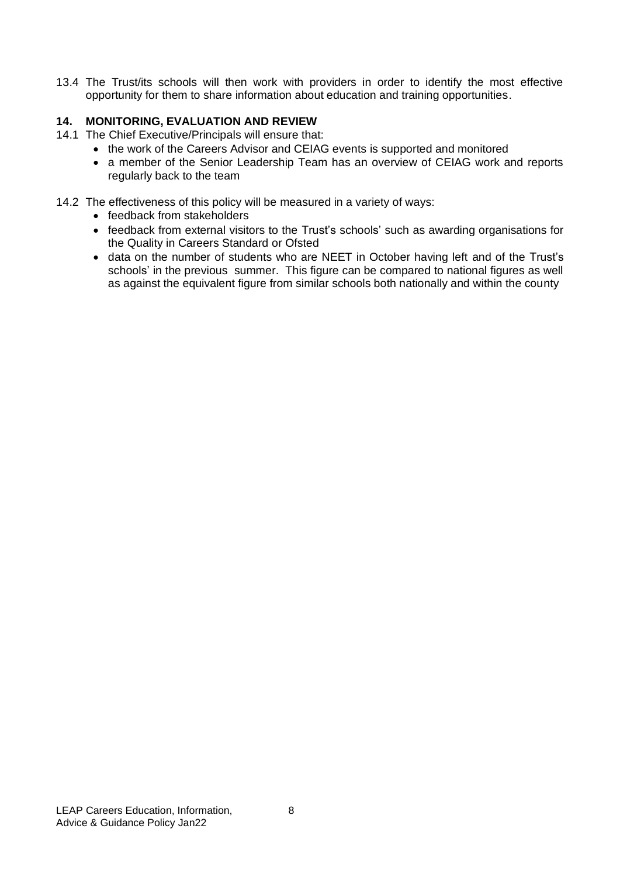13.4 The Trust/its schools will then work with providers in order to identify the most effective opportunity for them to share information about education and training opportunities.

# **14. MONITORING, EVALUATION AND REVIEW**

- 14.1 The Chief Executive/Principals will ensure that:
	- the work of the Careers Advisor and CEIAG events is supported and monitored
	- a member of the Senior Leadership Team has an overview of CEIAG work and reports regularly back to the team
- 14.2 The effectiveness of this policy will be measured in a variety of ways:
	- feedback from stakeholders
	- feedback from external visitors to the Trust's schools' such as awarding organisations for the Quality in Careers Standard or Ofsted
	- data on the number of students who are NEET in October having left and of the Trust's schools' in the previous summer. This figure can be compared to national figures as well as against the equivalent figure from similar schools both nationally and within the county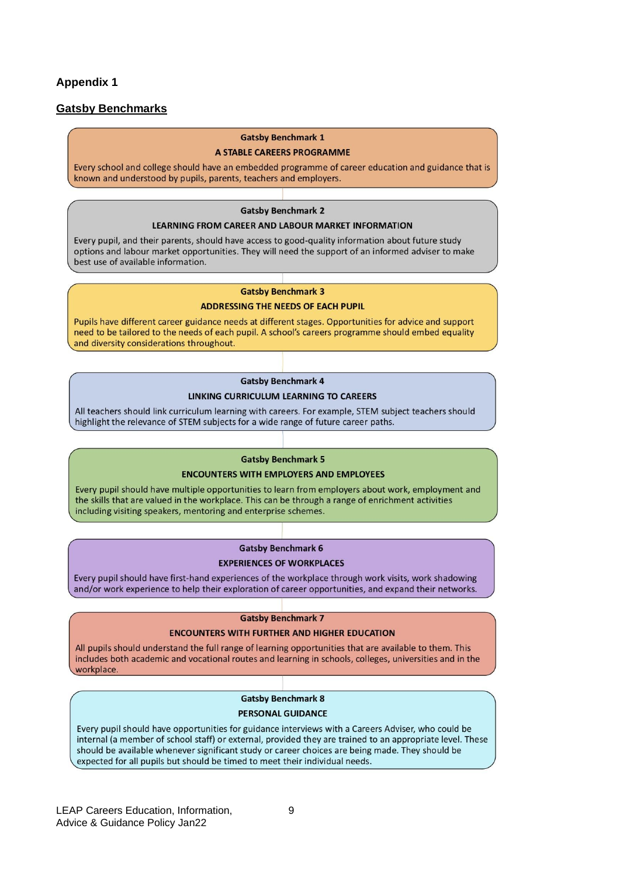## **Appendix 1**

## **Gatsby Benchmarks**

#### **Gatsby Benchmark 1**

#### A STABLE CAREERS PROGRAMME

Every school and college should have an embedded programme of career education and guidance that is known and understood by pupils, parents, teachers and employers.

#### **Gatsby Benchmark 2**

#### **LEARNING FROM CAREER AND LABOUR MARKET INFORMATION**

Every pupil, and their parents, should have access to good-quality information about future study options and labour market opportunities. They will need the support of an informed adviser to make best use of available information.

## **Gatsby Benchmark 3**

#### **ADDRESSING THE NEEDS OF EACH PUPIL**

Pupils have different career guidance needs at different stages. Opportunities for advice and support need to be tailored to the needs of each pupil. A school's careers programme should embed equality and diversity considerations throughout.

## **Gatsby Benchmark 4**

## LINKING CURRICULUM LEARNING TO CAREERS

All teachers should link curriculum learning with careers. For example, STEM subject teachers should highlight the relevance of STEM subjects for a wide range of future career paths.

#### **Gatsby Benchmark 5**

#### **ENCOUNTERS WITH EMPLOYERS AND EMPLOYEES**

Every pupil should have multiple opportunities to learn from employers about work, employment and the skills that are valued in the workplace. This can be through a range of enrichment activities including visiting speakers, mentoring and enterprise schemes.

## **Gatsby Benchmark 6**

#### **EXPERIENCES OF WORKPLACES**

Every pupil should have first-hand experiences of the workplace through work visits, work shadowing and/or work experience to help their exploration of career opportunities, and expand their networks.

#### **Gatsby Benchmark 7**

## **ENCOUNTERS WITH FURTHER AND HIGHER EDUCATION**

All pupils should understand the full range of learning opportunities that are available to them. This includes both academic and vocational routes and learning in schools, colleges, universities and in the workplace.

### **Gatsby Benchmark 8**

#### **PERSONAL GUIDANCE**

Every pupil should have opportunities for guidance interviews with a Careers Adviser, who could be internal (a member of school staff) or external, provided they are trained to an appropriate level. These should be available whenever significant study or career choices are being made. They should be expected for all pupils but should be timed to meet their individual needs.